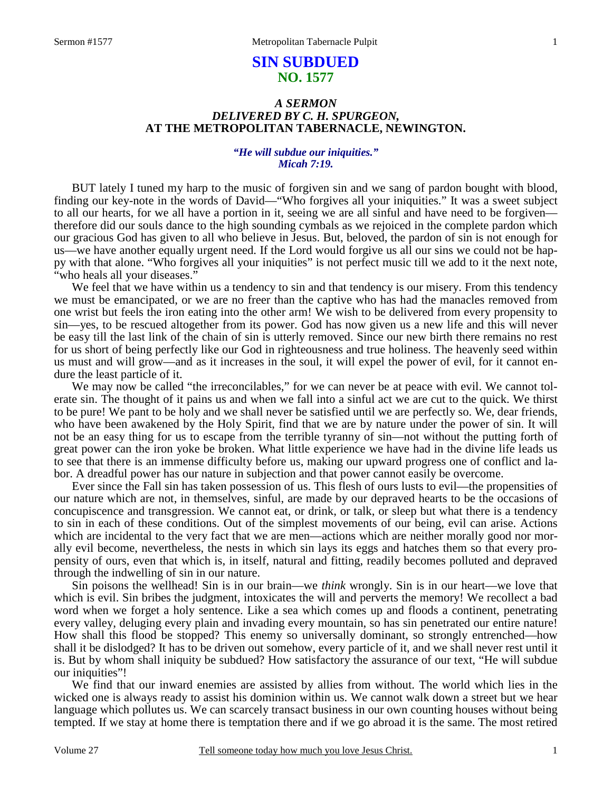# **SIN SUBDUED NO. 1577**

## *A SERMON DELIVERED BY C. H. SPURGEON,*  **AT THE METROPOLITAN TABERNACLE, NEWINGTON.**

### *"He will subdue our iniquities." Micah 7:19.*

 BUT lately I tuned my harp to the music of forgiven sin and we sang of pardon bought with blood, finding our key-note in the words of David—"Who forgives all your iniquities." It was a sweet subject to all our hearts, for we all have a portion in it, seeing we are all sinful and have need to be forgiven therefore did our souls dance to the high sounding cymbals as we rejoiced in the complete pardon which our gracious God has given to all who believe in Jesus. But, beloved, the pardon of sin is not enough for us—we have another equally urgent need. If the Lord would forgive us all our sins we could not be happy with that alone. "Who forgives all your iniquities" is not perfect music till we add to it the next note, "who heals all your diseases."

We feel that we have within us a tendency to sin and that tendency is our misery. From this tendency we must be emancipated, or we are no freer than the captive who has had the manacles removed from one wrist but feels the iron eating into the other arm! We wish to be delivered from every propensity to sin—yes, to be rescued altogether from its power. God has now given us a new life and this will never be easy till the last link of the chain of sin is utterly removed. Since our new birth there remains no rest for us short of being perfectly like our God in righteousness and true holiness. The heavenly seed within us must and will grow—and as it increases in the soul, it will expel the power of evil, for it cannot endure the least particle of it.

We may now be called "the irreconcilables," for we can never be at peace with evil. We cannot tolerate sin. The thought of it pains us and when we fall into a sinful act we are cut to the quick. We thirst to be pure! We pant to be holy and we shall never be satisfied until we are perfectly so. We, dear friends, who have been awakened by the Holy Spirit, find that we are by nature under the power of sin. It will not be an easy thing for us to escape from the terrible tyranny of sin—not without the putting forth of great power can the iron yoke be broken. What little experience we have had in the divine life leads us to see that there is an immense difficulty before us, making our upward progress one of conflict and labor. A dreadful power has our nature in subjection and that power cannot easily be overcome.

 Ever since the Fall sin has taken possession of us. This flesh of ours lusts to evil—the propensities of our nature which are not, in themselves, sinful, are made by our depraved hearts to be the occasions of concupiscence and transgression. We cannot eat, or drink, or talk, or sleep but what there is a tendency to sin in each of these conditions. Out of the simplest movements of our being, evil can arise. Actions which are incidental to the very fact that we are men—actions which are neither morally good nor morally evil become, nevertheless, the nests in which sin lays its eggs and hatches them so that every propensity of ours, even that which is, in itself, natural and fitting, readily becomes polluted and depraved through the indwelling of sin in our nature.

 Sin poisons the wellhead! Sin is in our brain—we *think* wrongly. Sin is in our heart—we love that which is evil. Sin bribes the judgment, intoxicates the will and perverts the memory! We recollect a bad word when we forget a holy sentence. Like a sea which comes up and floods a continent, penetrating every valley, deluging every plain and invading every mountain, so has sin penetrated our entire nature! How shall this flood be stopped? This enemy so universally dominant, so strongly entrenched—how shall it be dislodged? It has to be driven out somehow, every particle of it, and we shall never rest until it is. But by whom shall iniquity be subdued? How satisfactory the assurance of our text, "He will subdue our iniquities"!

 We find that our inward enemies are assisted by allies from without. The world which lies in the wicked one is always ready to assist his dominion within us. We cannot walk down a street but we hear language which pollutes us. We can scarcely transact business in our own counting houses without being tempted. If we stay at home there is temptation there and if we go abroad it is the same. The most retired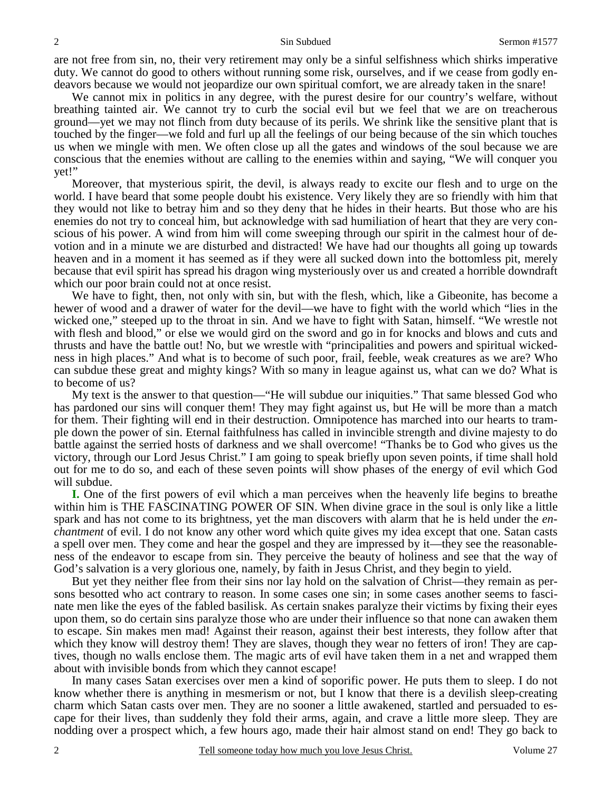are not free from sin, no, their very retirement may only be a sinful selfishness which shirks imperative duty. We cannot do good to others without running some risk, ourselves, and if we cease from godly endeavors because we would not jeopardize our own spiritual comfort, we are already taken in the snare!

 We cannot mix in politics in any degree, with the purest desire for our country's welfare, without breathing tainted air. We cannot try to curb the social evil but we feel that we are on treacherous ground—yet we may not flinch from duty because of its perils. We shrink like the sensitive plant that is touched by the finger—we fold and furl up all the feelings of our being because of the sin which touches us when we mingle with men. We often close up all the gates and windows of the soul because we are conscious that the enemies without are calling to the enemies within and saying, "We will conquer you yet!"

 Moreover, that mysterious spirit, the devil, is always ready to excite our flesh and to urge on the world. I have beard that some people doubt his existence. Very likely they are so friendly with him that they would not like to betray him and so they deny that he hides in their hearts. But those who are his enemies do not try to conceal him, but acknowledge with sad humiliation of heart that they are very conscious of his power. A wind from him will come sweeping through our spirit in the calmest hour of devotion and in a minute we are disturbed and distracted! We have had our thoughts all going up towards heaven and in a moment it has seemed as if they were all sucked down into the bottomless pit, merely because that evil spirit has spread his dragon wing mysteriously over us and created a horrible downdraft which our poor brain could not at once resist.

 We have to fight, then, not only with sin, but with the flesh, which, like a Gibeonite, has become a hewer of wood and a drawer of water for the devil—we have to fight with the world which "lies in the wicked one," steeped up to the throat in sin. And we have to fight with Satan, himself. "We wrestle not with flesh and blood," or else we would gird on the sword and go in for knocks and blows and cuts and thrusts and have the battle out! No, but we wrestle with "principalities and powers and spiritual wickedness in high places." And what is to become of such poor, frail, feeble, weak creatures as we are? Who can subdue these great and mighty kings? With so many in league against us, what can we do? What is to become of us?

 My text is the answer to that question—"He will subdue our iniquities." That same blessed God who has pardoned our sins will conquer them! They may fight against us, but He will be more than a match for them. Their fighting will end in their destruction. Omnipotence has marched into our hearts to trample down the power of sin. Eternal faithfulness has called in invincible strength and divine majesty to do battle against the serried hosts of darkness and we shall overcome! "Thanks be to God who gives us the victory, through our Lord Jesus Christ." I am going to speak briefly upon seven points, if time shall hold out for me to do so, and each of these seven points will show phases of the energy of evil which God will subdue.

**I.** One of the first powers of evil which a man perceives when the heavenly life begins to breathe within him is THE FASCINATING POWER OF SIN. When divine grace in the soul is only like a little spark and has not come to its brightness, yet the man discovers with alarm that he is held under the *enchantment* of evil. I do not know any other word which quite gives my idea except that one. Satan casts a spell over men. They come and hear the gospel and they are impressed by it—they see the reasonableness of the endeavor to escape from sin. They perceive the beauty of holiness and see that the way of God's salvation is a very glorious one, namely, by faith in Jesus Christ, and they begin to yield.

 But yet they neither flee from their sins nor lay hold on the salvation of Christ—they remain as persons besotted who act contrary to reason. In some cases one sin; in some cases another seems to fascinate men like the eyes of the fabled basilisk. As certain snakes paralyze their victims by fixing their eyes upon them, so do certain sins paralyze those who are under their influence so that none can awaken them to escape. Sin makes men mad! Against their reason, against their best interests, they follow after that which they know will destroy them! They are slaves, though they wear no fetters of iron! They are captives, though no walls enclose them. The magic arts of evil have taken them in a net and wrapped them about with invisible bonds from which they cannot escape!

 In many cases Satan exercises over men a kind of soporific power. He puts them to sleep. I do not know whether there is anything in mesmerism or not, but I know that there is a devilish sleep-creating charm which Satan casts over men. They are no sooner a little awakened, startled and persuaded to escape for their lives, than suddenly they fold their arms, again, and crave a little more sleep. They are nodding over a prospect which, a few hours ago, made their hair almost stand on end! They go back to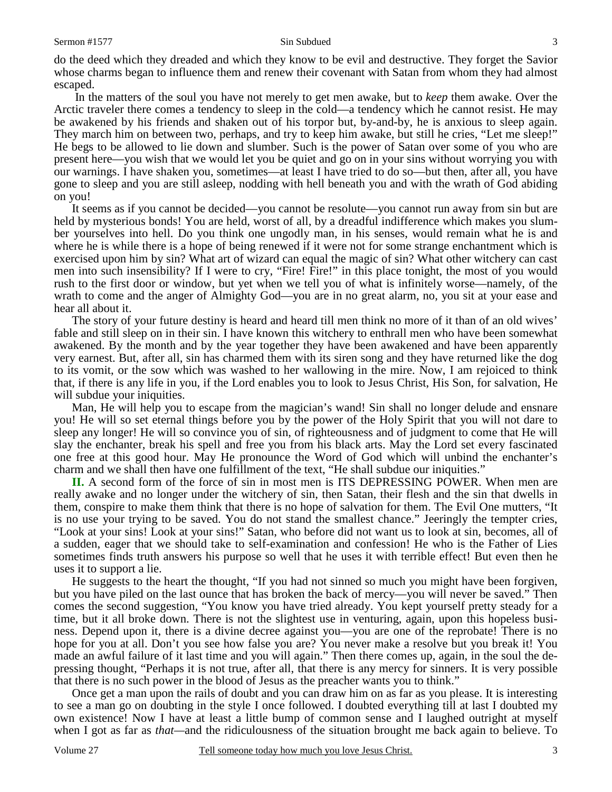do the deed which they dreaded and which they know to be evil and destructive. They forget the Savior whose charms began to influence them and renew their covenant with Satan from whom they had almost escaped.

 In the matters of the soul you have not merely to get men awake, but to *keep* them awake. Over the Arctic traveler there comes a tendency to sleep in the cold—a tendency which he cannot resist. He may be awakened by his friends and shaken out of his torpor but, by-and-by, he is anxious to sleep again. They march him on between two, perhaps, and try to keep him awake, but still he cries, "Let me sleep!" He begs to be allowed to lie down and slumber. Such is the power of Satan over some of you who are present here—you wish that we would let you be quiet and go on in your sins without worrying you with our warnings. I have shaken you, sometimes—at least I have tried to do so—but then, after all, you have gone to sleep and you are still asleep, nodding with hell beneath you and with the wrath of God abiding on you!

 It seems as if you cannot be decided—you cannot be resolute—you cannot run away from sin but are held by mysterious bonds! You are held, worst of all, by a dreadful indifference which makes you slumber yourselves into hell. Do you think one ungodly man, in his senses, would remain what he is and where he is while there is a hope of being renewed if it were not for some strange enchantment which is exercised upon him by sin? What art of wizard can equal the magic of sin? What other witchery can cast men into such insensibility? If I were to cry, "Fire! Fire!" in this place tonight, the most of you would rush to the first door or window, but yet when we tell you of what is infinitely worse—namely, of the wrath to come and the anger of Almighty God—you are in no great alarm, no, you sit at your ease and hear all about it.

 The story of your future destiny is heard and heard till men think no more of it than of an old wives' fable and still sleep on in their sin. I have known this witchery to enthrall men who have been somewhat awakened. By the month and by the year together they have been awakened and have been apparently very earnest. But, after all, sin has charmed them with its siren song and they have returned like the dog to its vomit, or the sow which was washed to her wallowing in the mire. Now, I am rejoiced to think that, if there is any life in you, if the Lord enables you to look to Jesus Christ, His Son, for salvation, He will subdue your iniquities.

 Man, He will help you to escape from the magician's wand! Sin shall no longer delude and ensnare you! He will so set eternal things before you by the power of the Holy Spirit that you will not dare to sleep any longer! He will so convince you of sin, of righteousness and of judgment to come that He will slay the enchanter, break his spell and free you from his black arts. May the Lord set every fascinated one free at this good hour. May He pronounce the Word of God which will unbind the enchanter's charm and we shall then have one fulfillment of the text, "He shall subdue our iniquities."

**II.** A second form of the force of sin in most men is ITS DEPRESSING POWER. When men are really awake and no longer under the witchery of sin, then Satan, their flesh and the sin that dwells in them, conspire to make them think that there is no hope of salvation for them. The Evil One mutters, "It is no use your trying to be saved. You do not stand the smallest chance." Jeeringly the tempter cries, "Look at your sins! Look at your sins!" Satan, who before did not want us to look at sin, becomes, all of a sudden, eager that we should take to self-examination and confession! He who is the Father of Lies sometimes finds truth answers his purpose so well that he uses it with terrible effect! But even then he uses it to support a lie.

 He suggests to the heart the thought, "If you had not sinned so much you might have been forgiven, but you have piled on the last ounce that has broken the back of mercy—you will never be saved." Then comes the second suggestion, "You know you have tried already. You kept yourself pretty steady for a time, but it all broke down. There is not the slightest use in venturing, again, upon this hopeless business. Depend upon it, there is a divine decree against you—you are one of the reprobate! There is no hope for you at all. Don't you see how false you are? You never make a resolve but you break it! You made an awful failure of it last time and you will again." Then there comes up, again, in the soul the depressing thought, "Perhaps it is not true, after all, that there is any mercy for sinners. It is very possible that there is no such power in the blood of Jesus as the preacher wants you to think."

 Once get a man upon the rails of doubt and you can draw him on as far as you please. It is interesting to see a man go on doubting in the style I once followed. I doubted everything till at last I doubted my own existence! Now I have at least a little bump of common sense and I laughed outright at myself when I got as far as *that—*and the ridiculousness of the situation brought me back again to believe. To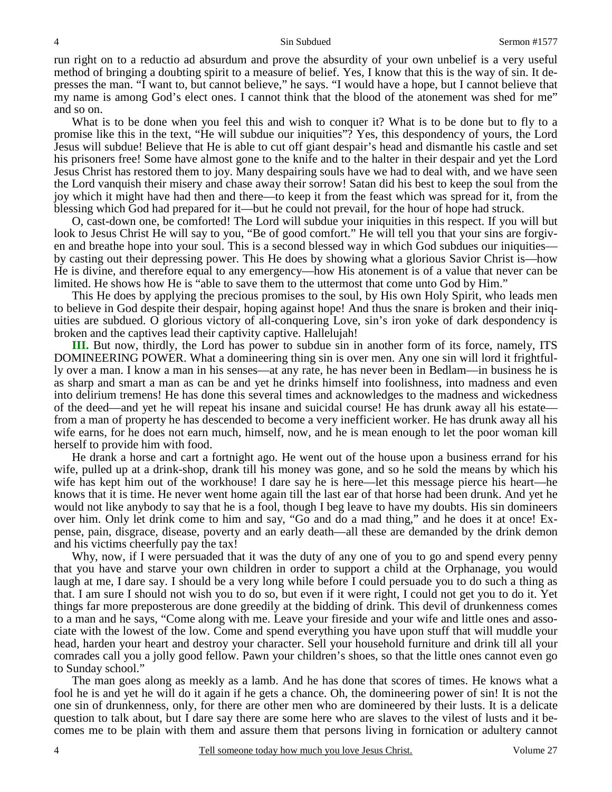run right on to a reductio ad absurdum and prove the absurdity of your own unbelief is a very useful method of bringing a doubting spirit to a measure of belief. Yes, I know that this is the way of sin. It depresses the man. "I want to, but cannot believe," he says. "I would have a hope, but I cannot believe that my name is among God's elect ones. I cannot think that the blood of the atonement was shed for me" and so on.

 What is to be done when you feel this and wish to conquer it? What is to be done but to fly to a promise like this in the text, "He will subdue our iniquities"? Yes, this despondency of yours, the Lord Jesus will subdue! Believe that He is able to cut off giant despair's head and dismantle his castle and set his prisoners free! Some have almost gone to the knife and to the halter in their despair and yet the Lord Jesus Christ has restored them to joy. Many despairing souls have we had to deal with, and we have seen the Lord vanquish their misery and chase away their sorrow! Satan did his best to keep the soul from the joy which it might have had then and there—to keep it from the feast which was spread for it, from the blessing which God had prepared for it—but he could not prevail, for the hour of hope had struck.

 O, cast-down one, be comforted! The Lord will subdue your iniquities in this respect. If you will but look to Jesus Christ He will say to you, "Be of good comfort." He will tell you that your sins are forgiven and breathe hope into your soul. This is a second blessed way in which God subdues our iniquities by casting out their depressing power. This He does by showing what a glorious Savior Christ is—how He is divine, and therefore equal to any emergency—how His atonement is of a value that never can be limited. He shows how He is "able to save them to the uttermost that come unto God by Him."

 This He does by applying the precious promises to the soul, by His own Holy Spirit, who leads men to believe in God despite their despair, hoping against hope! And thus the snare is broken and their iniquities are subdued. O glorious victory of all-conquering Love, sin's iron yoke of dark despondency is broken and the captives lead their captivity captive. Hallelujah!

**III.** But now, thirdly, the Lord has power to subdue sin in another form of its force, namely, ITS DOMINEERING POWER. What a domineering thing sin is over men. Any one sin will lord it frightfully over a man. I know a man in his senses—at any rate, he has never been in Bedlam—in business he is as sharp and smart a man as can be and yet he drinks himself into foolishness, into madness and even into delirium tremens! He has done this several times and acknowledges to the madness and wickedness of the deed—and yet he will repeat his insane and suicidal course! He has drunk away all his estate from a man of property he has descended to become a very inefficient worker. He has drunk away all his wife earns, for he does not earn much, himself, now, and he is mean enough to let the poor woman kill herself to provide him with food.

 He drank a horse and cart a fortnight ago. He went out of the house upon a business errand for his wife, pulled up at a drink-shop, drank till his money was gone, and so he sold the means by which his wife has kept him out of the workhouse! I dare say he is here—let this message pierce his heart—he knows that it is time. He never went home again till the last ear of that horse had been drunk. And yet he would not like anybody to say that he is a fool, though I beg leave to have my doubts. His sin domineers over him. Only let drink come to him and say, "Go and do a mad thing," and he does it at once! Expense, pain, disgrace, disease, poverty and an early death—all these are demanded by the drink demon and his victims cheerfully pay the tax!

Why, now, if I were persuaded that it was the duty of any one of you to go and spend every penny that you have and starve your own children in order to support a child at the Orphanage, you would laugh at me, I dare say. I should be a very long while before I could persuade you to do such a thing as that. I am sure I should not wish you to do so, but even if it were right, I could not get you to do it. Yet things far more preposterous are done greedily at the bidding of drink. This devil of drunkenness comes to a man and he says, "Come along with me. Leave your fireside and your wife and little ones and associate with the lowest of the low. Come and spend everything you have upon stuff that will muddle your head, harden your heart and destroy your character. Sell your household furniture and drink till all your comrades call you a jolly good fellow. Pawn your children's shoes, so that the little ones cannot even go to Sunday school."

 The man goes along as meekly as a lamb. And he has done that scores of times. He knows what a fool he is and yet he will do it again if he gets a chance. Oh, the domineering power of sin! It is not the one sin of drunkenness, only, for there are other men who are domineered by their lusts. It is a delicate question to talk about, but I dare say there are some here who are slaves to the vilest of lusts and it becomes me to be plain with them and assure them that persons living in fornication or adultery cannot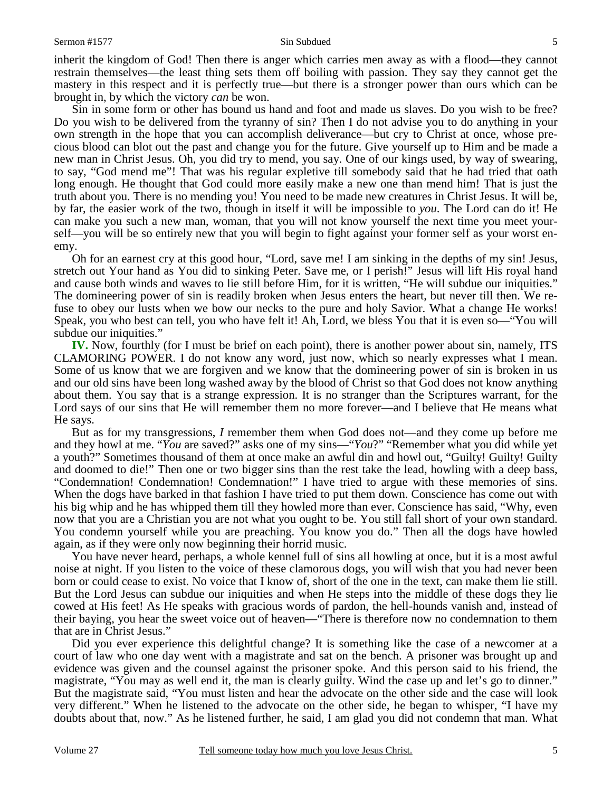inherit the kingdom of God! Then there is anger which carries men away as with a flood—they cannot restrain themselves—the least thing sets them off boiling with passion. They say they cannot get the mastery in this respect and it is perfectly true—but there is a stronger power than ours which can be brought in, by which the victory *can* be won.

 Sin in some form or other has bound us hand and foot and made us slaves. Do you wish to be free? Do you wish to be delivered from the tyranny of sin? Then I do not advise you to do anything in your own strength in the hope that you can accomplish deliverance—but cry to Christ at once, whose precious blood can blot out the past and change you for the future. Give yourself up to Him and be made a new man in Christ Jesus. Oh, you did try to mend, you say. One of our kings used, by way of swearing, to say, "God mend me"! That was his regular expletive till somebody said that he had tried that oath long enough. He thought that God could more easily make a new one than mend him! That is just the truth about you. There is no mending you! You need to be made new creatures in Christ Jesus. It will be, by far, the easier work of the two, though in itself it will be impossible to *you*. The Lord can do it! He can make you such a new man, woman, that you will not know yourself the next time you meet yourself—you will be so entirely new that you will begin to fight against your former self as your worst enemy.

 Oh for an earnest cry at this good hour, "Lord, save me! I am sinking in the depths of my sin! Jesus, stretch out Your hand as You did to sinking Peter. Save me, or I perish!" Jesus will lift His royal hand and cause both winds and waves to lie still before Him, for it is written, "He will subdue our iniquities." The domineering power of sin is readily broken when Jesus enters the heart, but never till then. We refuse to obey our lusts when we bow our necks to the pure and holy Savior. What a change He works! Speak, you who best can tell, you who have felt it! Ah, Lord, we bless You that it is even so—"You will subdue our iniquities."

**IV.** Now, fourthly (for I must be brief on each point), there is another power about sin, namely, ITS CLAMORING POWER. I do not know any word, just now, which so nearly expresses what I mean. Some of us know that we are forgiven and we know that the domineering power of sin is broken in us and our old sins have been long washed away by the blood of Christ so that God does not know anything about them. You say that is a strange expression. It is no stranger than the Scriptures warrant, for the Lord says of our sins that He will remember them no more forever—and I believe that He means what He says.

 But as for my transgressions, *I* remember them when God does not—and they come up before me and they howl at me. "*You* are saved?" asks one of my sins—"*You*?" "Remember what you did while yet a youth?" Sometimes thousand of them at once make an awful din and howl out, "Guilty! Guilty! Guilty and doomed to die!" Then one or two bigger sins than the rest take the lead, howling with a deep bass, "Condemnation! Condemnation! Condemnation!" I have tried to argue with these memories of sins. When the dogs have barked in that fashion I have tried to put them down. Conscience has come out with his big whip and he has whipped them till they howled more than ever. Conscience has said, "Why, even now that you are a Christian you are not what you ought to be. You still fall short of your own standard. You condemn yourself while you are preaching. You know you do." Then all the dogs have howled again, as if they were only now beginning their horrid music.

 You have never heard, perhaps, a whole kennel full of sins all howling at once, but it is a most awful noise at night. If you listen to the voice of these clamorous dogs, you will wish that you had never been born or could cease to exist. No voice that I know of, short of the one in the text, can make them lie still. But the Lord Jesus can subdue our iniquities and when He steps into the middle of these dogs they lie cowed at His feet! As He speaks with gracious words of pardon, the hell-hounds vanish and, instead of their baying, you hear the sweet voice out of heaven—"There is therefore now no condemnation to them that are in Christ Jesus."

 Did you ever experience this delightful change? It is something like the case of a newcomer at a court of law who one day went with a magistrate and sat on the bench. A prisoner was brought up and evidence was given and the counsel against the prisoner spoke. And this person said to his friend, the magistrate, "You may as well end it, the man is clearly guilty. Wind the case up and let's go to dinner." But the magistrate said, "You must listen and hear the advocate on the other side and the case will look very different." When he listened to the advocate on the other side, he began to whisper, "I have my doubts about that, now." As he listened further, he said, I am glad you did not condemn that man. What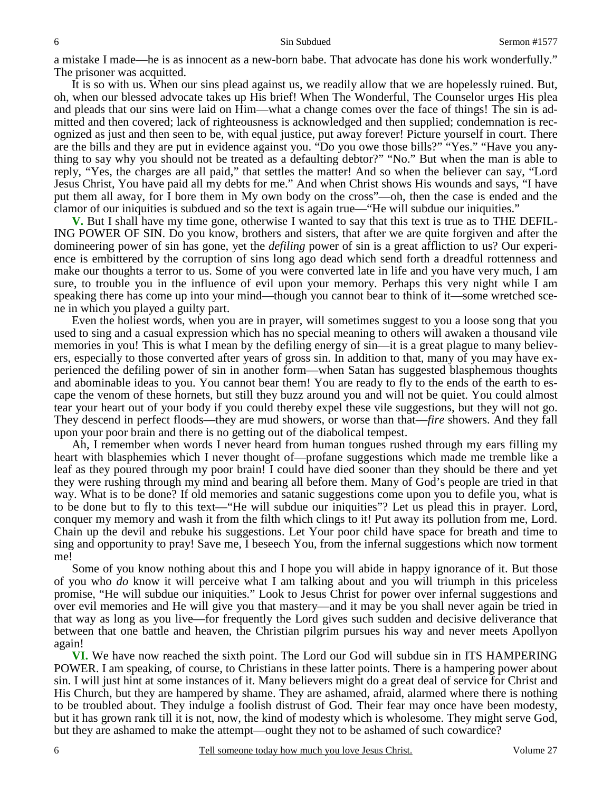a mistake I made—he is as innocent as a new-born babe. That advocate has done his work wonderfully." The prisoner was acquitted.

 It is so with us. When our sins plead against us, we readily allow that we are hopelessly ruined. But, oh, when our blessed advocate takes up His brief! When The Wonderful, The Counselor urges His plea and pleads that our sins were laid on Him—what a change comes over the face of things! The sin is admitted and then covered; lack of righteousness is acknowledged and then supplied; condemnation is recognized as just and then seen to be, with equal justice, put away forever! Picture yourself in court. There are the bills and they are put in evidence against you. "Do you owe those bills?" "Yes." "Have you anything to say why you should not be treated as a defaulting debtor?" "No." But when the man is able to reply, "Yes, the charges are all paid," that settles the matter! And so when the believer can say, "Lord Jesus Christ, You have paid all my debts for me." And when Christ shows His wounds and says, "I have put them all away, for I bore them in My own body on the cross"—oh, then the case is ended and the clamor of our iniquities is subdued and so the text is again true—"He will subdue our iniquities."

**V.** But I shall have my time gone, otherwise I wanted to say that this text is true as to THE DEFIL-ING POWER OF SIN. Do you know, brothers and sisters, that after we are quite forgiven and after the domineering power of sin has gone, yet the *defiling* power of sin is a great affliction to us? Our experience is embittered by the corruption of sins long ago dead which send forth a dreadful rottenness and make our thoughts a terror to us. Some of you were converted late in life and you have very much, I am sure, to trouble you in the influence of evil upon your memory. Perhaps this very night while I am speaking there has come up into your mind—though you cannot bear to think of it—some wretched scene in which you played a guilty part.

 Even the holiest words, when you are in prayer, will sometimes suggest to you a loose song that you used to sing and a casual expression which has no special meaning to others will awaken a thousand vile memories in you! This is what I mean by the defiling energy of sin—it is a great plague to many believers, especially to those converted after years of gross sin. In addition to that, many of you may have experienced the defiling power of sin in another form—when Satan has suggested blasphemous thoughts and abominable ideas to you. You cannot bear them! You are ready to fly to the ends of the earth to escape the venom of these hornets, but still they buzz around you and will not be quiet. You could almost tear your heart out of your body if you could thereby expel these vile suggestions, but they will not go. They descend in perfect floods—they are mud showers, or worse than that—*fire* showers. And they fall upon your poor brain and there is no getting out of the diabolical tempest.

 Ah, I remember when words I never heard from human tongues rushed through my ears filling my heart with blasphemies which I never thought of—profane suggestions which made me tremble like a leaf as they poured through my poor brain! I could have died sooner than they should be there and yet they were rushing through my mind and bearing all before them. Many of God's people are tried in that way. What is to be done? If old memories and satanic suggestions come upon you to defile you, what is to be done but to fly to this text—"He will subdue our iniquities"? Let us plead this in prayer. Lord, conquer my memory and wash it from the filth which clings to it! Put away its pollution from me, Lord. Chain up the devil and rebuke his suggestions. Let Your poor child have space for breath and time to sing and opportunity to pray! Save me, I beseech You, from the infernal suggestions which now torment me!

 Some of you know nothing about this and I hope you will abide in happy ignorance of it. But those of you who *do* know it will perceive what I am talking about and you will triumph in this priceless promise, "He will subdue our iniquities." Look to Jesus Christ for power over infernal suggestions and over evil memories and He will give you that mastery—and it may be you shall never again be tried in that way as long as you live—for frequently the Lord gives such sudden and decisive deliverance that between that one battle and heaven, the Christian pilgrim pursues his way and never meets Apollyon again!

**VI.** We have now reached the sixth point. The Lord our God will subdue sin in ITS HAMPERING POWER. I am speaking, of course, to Christians in these latter points. There is a hampering power about sin. I will just hint at some instances of it. Many believers might do a great deal of service for Christ and His Church, but they are hampered by shame. They are ashamed, afraid, alarmed where there is nothing to be troubled about. They indulge a foolish distrust of God. Their fear may once have been modesty, but it has grown rank till it is not, now, the kind of modesty which is wholesome. They might serve God, but they are ashamed to make the attempt—ought they not to be ashamed of such cowardice?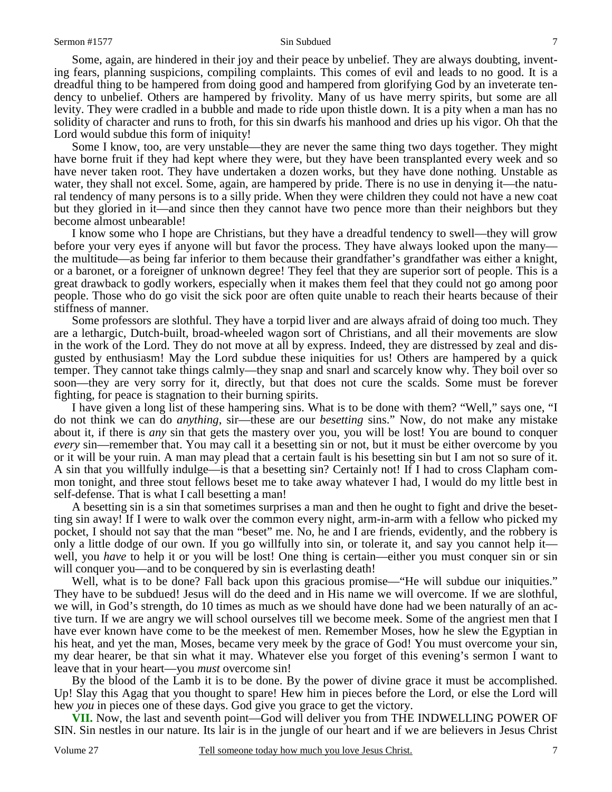Some, again, are hindered in their joy and their peace by unbelief. They are always doubting, inventing fears, planning suspicions, compiling complaints. This comes of evil and leads to no good. It is a dreadful thing to be hampered from doing good and hampered from glorifying God by an inveterate tendency to unbelief. Others are hampered by frivolity. Many of us have merry spirits, but some are all levity. They were cradled in a bubble and made to ride upon thistle down. It is a pity when a man has no solidity of character and runs to froth, for this sin dwarfs his manhood and dries up his vigor. Oh that the Lord would subdue this form of iniquity!

 Some I know, too, are very unstable—they are never the same thing two days together. They might have borne fruit if they had kept where they were, but they have been transplanted every week and so have never taken root. They have undertaken a dozen works, but they have done nothing. Unstable as water, they shall not excel. Some, again, are hampered by pride. There is no use in denying it—the natural tendency of many persons is to a silly pride. When they were children they could not have a new coat but they gloried in it—and since then they cannot have two pence more than their neighbors but they become almost unbearable!

 I know some who I hope are Christians, but they have a dreadful tendency to swell—they will grow before your very eyes if anyone will but favor the process. They have always looked upon the many the multitude—as being far inferior to them because their grandfather's grandfather was either a knight, or a baronet, or a foreigner of unknown degree! They feel that they are superior sort of people. This is a great drawback to godly workers, especially when it makes them feel that they could not go among poor people. Those who do go visit the sick poor are often quite unable to reach their hearts because of their stiffness of manner.

 Some professors are slothful. They have a torpid liver and are always afraid of doing too much. They are a lethargic, Dutch-built, broad-wheeled wagon sort of Christians, and all their movements are slow in the work of the Lord. They do not move at all by express. Indeed, they are distressed by zeal and disgusted by enthusiasm! May the Lord subdue these iniquities for us! Others are hampered by a quick temper. They cannot take things calmly—they snap and snarl and scarcely know why. They boil over so soon—they are very sorry for it, directly, but that does not cure the scalds. Some must be forever fighting, for peace is stagnation to their burning spirits.

 I have given a long list of these hampering sins. What is to be done with them? "Well," says one, "I do not think we can do *anything*, sir—these are our *besetting* sins." Now, do not make any mistake about it, if there is *any* sin that gets the mastery over you, you will be lost! You are bound to conquer *every* sin—remember that. You may call it a besetting sin or not, but it must be either overcome by you or it will be your ruin. A man may plead that a certain fault is his besetting sin but I am not so sure of it. A sin that you willfully indulge—is that a besetting sin? Certainly not! If I had to cross Clapham common tonight, and three stout fellows beset me to take away whatever I had, I would do my little best in self-defense. That is what I call besetting a man!

 A besetting sin is a sin that sometimes surprises a man and then he ought to fight and drive the besetting sin away! If I were to walk over the common every night, arm-in-arm with a fellow who picked my pocket, I should not say that the man "beset" me. No, he and I are friends, evidently, and the robbery is only a little dodge of our own. If you go willfully into sin, or tolerate it, and say you cannot help it well, you *have* to help it or you will be lost! One thing is certain—either you must conquer sin or sin will conquer you—and to be conquered by sin is everlasting death!

 Well, what is to be done? Fall back upon this gracious promise—"He will subdue our iniquities." They have to be subdued! Jesus will do the deed and in His name we will overcome. If we are slothful, we will, in God's strength, do 10 times as much as we should have done had we been naturally of an active turn. If we are angry we will school ourselves till we become meek. Some of the angriest men that I have ever known have come to be the meekest of men. Remember Moses, how he slew the Egyptian in his heat, and yet the man, Moses, became very meek by the grace of God! You must overcome your sin, my dear hearer, be that sin what it may. Whatever else you forget of this evening's sermon I want to leave that in your heart—you *must* overcome sin!

 By the blood of the Lamb it is to be done. By the power of divine grace it must be accomplished. Up! Slay this Agag that you thought to spare! Hew him in pieces before the Lord, or else the Lord will hew *you* in pieces one of these days. God give you grace to get the victory.

**VII.** Now, the last and seventh point—God will deliver you from THE INDWELLING POWER OF SIN. Sin nestles in our nature. Its lair is in the jungle of our heart and if we are believers in Jesus Christ